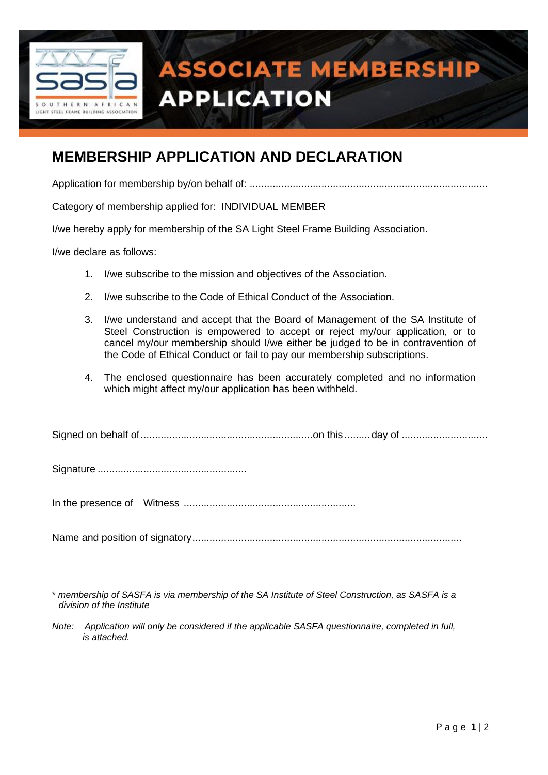

# **ASSOCIATE MEMBERSHIP APPLICATION**

# **MEMBERSHIP APPLICATION AND DECLARATION**

Application for membership by/on behalf of: ...................................................................................

Category of membership applied for: INDIVIDUAL MEMBER

I/we hereby apply for membership of the SA Light Steel Frame Building Association.

I/we declare as follows:

- 1. I/we subscribe to the mission and objectives of the Association.
- 2. I/we subscribe to the Code of Ethical Conduct of the Association.
- 3. I/we understand and accept that the Board of Management of the SA Institute of Steel Construction is empowered to accept or reject my/our application, or to cancel my/our membership should I/we either be judged to be in contravention of the Code of Ethical Conduct or fail to pay our membership subscriptions.
- 4. The enclosed questionnaire has been accurately completed and no information which might affect my/our application has been withheld.

|--|--|--|

Signature ....................................................

In the presence of Witness ............................................................

Name and position of signatory..............................................................................................

<sup>\*</sup> *membership of SASFA is via membership of the SA Institute of Steel Construction, as SASFA is a division of the Institute*

*Note: Application will only be considered if the applicable SASFA questionnaire, completed in full, is attached.*